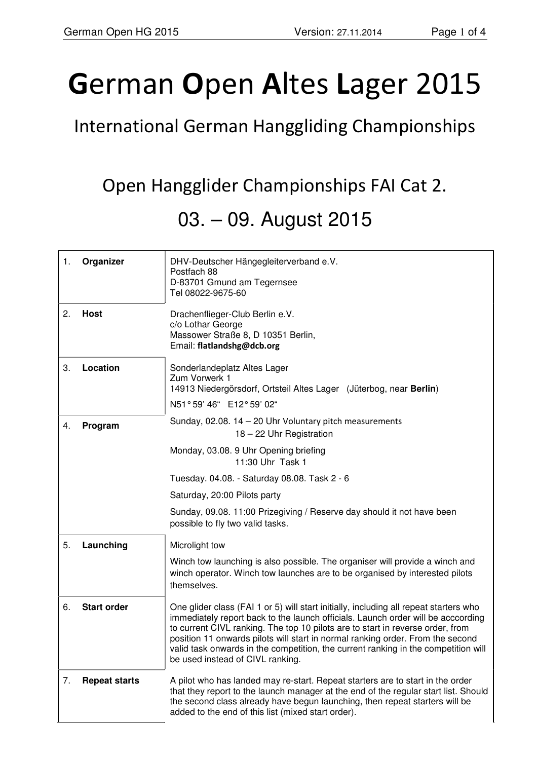## **G**erman **O**pen **A**ltes **L**ager 2015

International German Hanggliding Championships

Open Hangglider Championships FAI Cat 2.

## 03. – 09. August 2015

| 1. | Organizer            | DHV-Deutscher Hängegleiterverband e.V.<br>Postfach 88<br>D-83701 Gmund am Tegernsee<br>Tel 08022-9675-60                                                                                                                                                                                                                                                                                                                                                                |
|----|----------------------|-------------------------------------------------------------------------------------------------------------------------------------------------------------------------------------------------------------------------------------------------------------------------------------------------------------------------------------------------------------------------------------------------------------------------------------------------------------------------|
| 2. | Host                 | Drachenflieger-Club Berlin e.V.<br>c/o Lothar George<br>Massower Straße 8, D 10351 Berlin,<br>Email: flatlandshg@dcb.org                                                                                                                                                                                                                                                                                                                                                |
| 3. | Location             | Sonderlandeplatz Altes Lager<br>Zum Vorwerk 1<br>14913 Niedergörsdorf, Ortsteil Altes Lager (Jüterbog, near Berlin)<br>N51°59' 46" E12°59' 02"                                                                                                                                                                                                                                                                                                                          |
| 4. | Program              | Sunday, 02.08. 14 - 20 Uhr Voluntary pitch measurements<br>18 - 22 Uhr Registration<br>Monday, 03.08. 9 Uhr Opening briefing                                                                                                                                                                                                                                                                                                                                            |
|    |                      | 11:30 Uhr Task 1                                                                                                                                                                                                                                                                                                                                                                                                                                                        |
|    |                      | Tuesday. 04.08. - Saturday 08.08. Task 2 - 6                                                                                                                                                                                                                                                                                                                                                                                                                            |
|    |                      | Saturday, 20:00 Pilots party                                                                                                                                                                                                                                                                                                                                                                                                                                            |
|    |                      | Sunday, 09.08. 11:00 Prizegiving / Reserve day should it not have been<br>possible to fly two valid tasks.                                                                                                                                                                                                                                                                                                                                                              |
| 5. | Launching            | Microlight tow                                                                                                                                                                                                                                                                                                                                                                                                                                                          |
|    |                      | Winch tow launching is also possible. The organiser will provide a winch and<br>winch operator. Winch tow launches are to be organised by interested pilots<br>themselves.                                                                                                                                                                                                                                                                                              |
| 6. | <b>Start order</b>   | One glider class (FAI 1 or 5) will start initially, including all repeat starters who<br>immediately report back to the launch officials. Launch order will be acccording<br>to current CIVL ranking. The top 10 pilots are to start in reverse order, from<br>position 11 onwards pilots will start in normal ranking order. From the second<br>valid task onwards in the competition, the current ranking in the competition will<br>be used instead of CIVL ranking. |
| 7. | <b>Repeat starts</b> | A pilot who has landed may re-start. Repeat starters are to start in the order<br>that they report to the launch manager at the end of the regular start list. Should<br>the second class already have begun launching, then repeat starters will be<br>added to the end of this list (mixed start order).                                                                                                                                                              |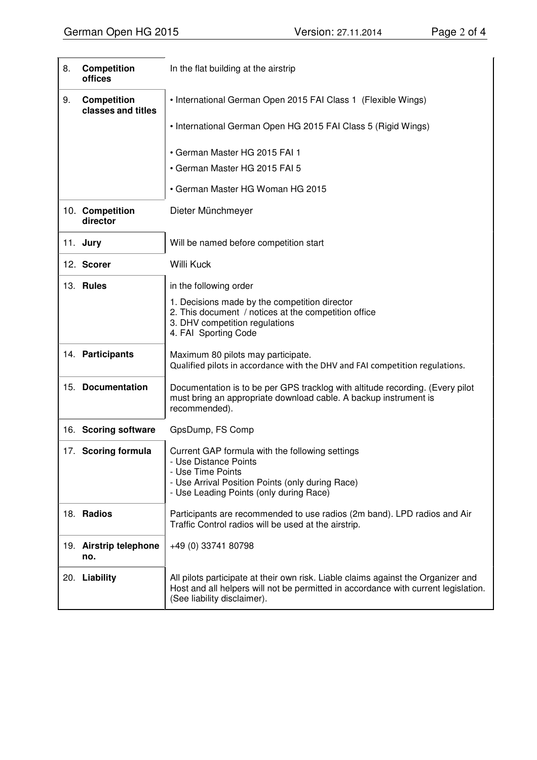| 8. | Competition<br>offices                   | In the flat building at the airstrip                                                                                                                                                                   |
|----|------------------------------------------|--------------------------------------------------------------------------------------------------------------------------------------------------------------------------------------------------------|
| 9. | <b>Competition</b><br>classes and titles | • International German Open 2015 FAI Class 1 (Flexible Wings)                                                                                                                                          |
|    |                                          | • International German Open HG 2015 FAI Class 5 (Rigid Wings)                                                                                                                                          |
|    |                                          | • German Master HG 2015 FAI 1                                                                                                                                                                          |
|    |                                          | • German Master HG 2015 FAI 5                                                                                                                                                                          |
|    |                                          | • German Master HG Woman HG 2015                                                                                                                                                                       |
|    | 10. Competition<br>director              | Dieter Münchmeyer                                                                                                                                                                                      |
|    | 11. Jury                                 | Will be named before competition start                                                                                                                                                                 |
|    | 12. Scorer                               | <b>Willi Kuck</b>                                                                                                                                                                                      |
|    | 13. Rules                                | in the following order                                                                                                                                                                                 |
|    |                                          | 1. Decisions made by the competition director<br>2. This document / notices at the competition office<br>3. DHV competition regulations<br>4. FAI Sporting Code                                        |
|    | 14. Participants                         | Maximum 80 pilots may participate.<br>Qualified pilots in accordance with the DHV and FAI competition regulations.                                                                                     |
|    | 15. Documentation                        | Documentation is to be per GPS tracklog with altitude recording. (Every pilot<br>must bring an appropriate download cable. A backup instrument is<br>recommended).                                     |
|    | 16. Scoring software                     | GpsDump, FS Comp                                                                                                                                                                                       |
|    | 17. Scoring formula                      | Current GAP formula with the following settings<br>- Use Distance Points<br>- Use Time Points<br>- Use Arrival Position Points (only during Race)<br>- Use Leading Points (only during Race)           |
|    | 18. Radios                               | Participants are recommended to use radios (2m band). LPD radios and Air<br>Traffic Control radios will be used at the airstrip.                                                                       |
|    | 19. Airstrip telephone<br>no.            | +49 (0) 33741 80798                                                                                                                                                                                    |
|    | 20. Liability                            | All pilots participate at their own risk. Liable claims against the Organizer and<br>Host and all helpers will not be permitted in accordance with current legislation.<br>(See liability disclaimer). |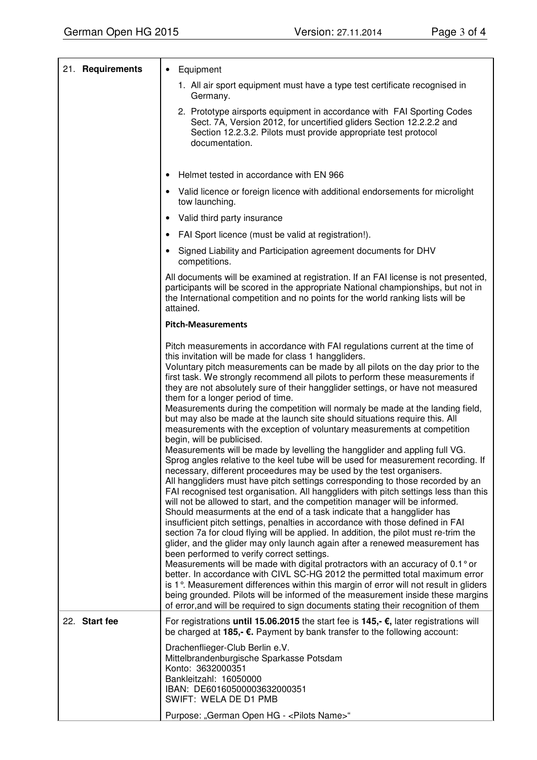| 21. Requirements | Equipment<br>$\bullet$                                                                                                                                                                                                                                                                                                                                                                                                                                                                                                                                                                                                                                                                                                                                                                                                                                                                                                                                                                                                                                                                                                                                                                                                                                                                                                                                                                                                                                                                                                                                                                                                                                                                                                                                                                                                                                                                                                                                                                                                                |
|------------------|---------------------------------------------------------------------------------------------------------------------------------------------------------------------------------------------------------------------------------------------------------------------------------------------------------------------------------------------------------------------------------------------------------------------------------------------------------------------------------------------------------------------------------------------------------------------------------------------------------------------------------------------------------------------------------------------------------------------------------------------------------------------------------------------------------------------------------------------------------------------------------------------------------------------------------------------------------------------------------------------------------------------------------------------------------------------------------------------------------------------------------------------------------------------------------------------------------------------------------------------------------------------------------------------------------------------------------------------------------------------------------------------------------------------------------------------------------------------------------------------------------------------------------------------------------------------------------------------------------------------------------------------------------------------------------------------------------------------------------------------------------------------------------------------------------------------------------------------------------------------------------------------------------------------------------------------------------------------------------------------------------------------------------------|
|                  | 1. All air sport equipment must have a type test certificate recognised in<br>Germany.                                                                                                                                                                                                                                                                                                                                                                                                                                                                                                                                                                                                                                                                                                                                                                                                                                                                                                                                                                                                                                                                                                                                                                                                                                                                                                                                                                                                                                                                                                                                                                                                                                                                                                                                                                                                                                                                                                                                                |
|                  | 2. Prototype airsports equipment in accordance with FAI Sporting Codes<br>Sect. 7A, Version 2012, for uncertified gliders Section 12.2.2.2 and<br>Section 12.2.3.2. Pilots must provide appropriate test protocol<br>documentation.                                                                                                                                                                                                                                                                                                                                                                                                                                                                                                                                                                                                                                                                                                                                                                                                                                                                                                                                                                                                                                                                                                                                                                                                                                                                                                                                                                                                                                                                                                                                                                                                                                                                                                                                                                                                   |
|                  | Helmet tested in accordance with EN 966<br>$\bullet$                                                                                                                                                                                                                                                                                                                                                                                                                                                                                                                                                                                                                                                                                                                                                                                                                                                                                                                                                                                                                                                                                                                                                                                                                                                                                                                                                                                                                                                                                                                                                                                                                                                                                                                                                                                                                                                                                                                                                                                  |
|                  | Valid licence or foreign licence with additional endorsements for microlight<br>$\bullet$                                                                                                                                                                                                                                                                                                                                                                                                                                                                                                                                                                                                                                                                                                                                                                                                                                                                                                                                                                                                                                                                                                                                                                                                                                                                                                                                                                                                                                                                                                                                                                                                                                                                                                                                                                                                                                                                                                                                             |
|                  | tow launching.                                                                                                                                                                                                                                                                                                                                                                                                                                                                                                                                                                                                                                                                                                                                                                                                                                                                                                                                                                                                                                                                                                                                                                                                                                                                                                                                                                                                                                                                                                                                                                                                                                                                                                                                                                                                                                                                                                                                                                                                                        |
|                  | Valid third party insurance<br>$\bullet$                                                                                                                                                                                                                                                                                                                                                                                                                                                                                                                                                                                                                                                                                                                                                                                                                                                                                                                                                                                                                                                                                                                                                                                                                                                                                                                                                                                                                                                                                                                                                                                                                                                                                                                                                                                                                                                                                                                                                                                              |
|                  | FAI Sport licence (must be valid at registration!).<br>$\bullet$                                                                                                                                                                                                                                                                                                                                                                                                                                                                                                                                                                                                                                                                                                                                                                                                                                                                                                                                                                                                                                                                                                                                                                                                                                                                                                                                                                                                                                                                                                                                                                                                                                                                                                                                                                                                                                                                                                                                                                      |
|                  | Signed Liability and Participation agreement documents for DHV<br>$\bullet$<br>competitions.                                                                                                                                                                                                                                                                                                                                                                                                                                                                                                                                                                                                                                                                                                                                                                                                                                                                                                                                                                                                                                                                                                                                                                                                                                                                                                                                                                                                                                                                                                                                                                                                                                                                                                                                                                                                                                                                                                                                          |
|                  | All documents will be examined at registration. If an FAI license is not presented,<br>participants will be scored in the appropriate National championships, but not in<br>the International competition and no points for the world ranking lists will be<br>attained.                                                                                                                                                                                                                                                                                                                                                                                                                                                                                                                                                                                                                                                                                                                                                                                                                                                                                                                                                                                                                                                                                                                                                                                                                                                                                                                                                                                                                                                                                                                                                                                                                                                                                                                                                              |
|                  | <b>Pitch-Measurements</b>                                                                                                                                                                                                                                                                                                                                                                                                                                                                                                                                                                                                                                                                                                                                                                                                                                                                                                                                                                                                                                                                                                                                                                                                                                                                                                                                                                                                                                                                                                                                                                                                                                                                                                                                                                                                                                                                                                                                                                                                             |
|                  | Pitch measurements in accordance with FAI regulations current at the time of<br>this invitation will be made for class 1 hanggliders.<br>Voluntary pitch measurements can be made by all pilots on the day prior to the<br>first task. We strongly recommend all pilots to perform these measurements if<br>they are not absolutely sure of their hangglider settings, or have not measured<br>them for a longer period of time.<br>Measurements during the competition will normaly be made at the landing field,<br>but may also be made at the launch site should situations require this. All<br>measurements with the exception of voluntary measurements at competition<br>begin, will be publicised.<br>Measurements will be made by levelling the hangglider and appling full VG.<br>Sprog angles relative to the keel tube will be used for measurement recording. If<br>necessary, different proceedures may be used by the test organisers.<br>All hanggliders must have pitch settings corresponding to those recorded by an<br>FAI recognised test organisation. All hanggliders with pitch settings less than this<br>will not be allowed to start, and the competition manager will be informed.<br>Should measurments at the end of a task indicate that a hangglider has<br>insufficient pitch settings, penalties in accordance with those defined in FAI<br>section 7a for cloud flying will be applied. In addition, the pilot must re-trim the<br>glider, and the glider may only launch again after a renewed measurement has<br>been performed to verify correct settings.<br>Measurements will be made with digital protractors with an accuracy of 0.1° or<br>better. In accordance with CIVL SC-HG 2012 the permitted total maximum error<br>is 1°. Measurement differences within this margin of error will not result in gliders<br>being grounded. Pilots will be informed of the measurement inside these margins<br>of error, and will be required to sign documents stating their recognition of them |
| 22. Start fee    | For registrations until 15.06.2015 the start fee is 145,- $\epsilon$ , later registrations will<br>be charged at 185,- €. Payment by bank transfer to the following account:<br>Drachenflieger-Club Berlin e.V.<br>Mittelbrandenburgische Sparkasse Potsdam<br>Konto: 3632000351<br>Bankleitzahl: 16050000<br>IBAN: DE60160500003632000351<br>SWIFT: WELA DE D1 PMB                                                                                                                                                                                                                                                                                                                                                                                                                                                                                                                                                                                                                                                                                                                                                                                                                                                                                                                                                                                                                                                                                                                                                                                                                                                                                                                                                                                                                                                                                                                                                                                                                                                                   |
|                  | Purpose: "German Open HG - < Pilots Name>"                                                                                                                                                                                                                                                                                                                                                                                                                                                                                                                                                                                                                                                                                                                                                                                                                                                                                                                                                                                                                                                                                                                                                                                                                                                                                                                                                                                                                                                                                                                                                                                                                                                                                                                                                                                                                                                                                                                                                                                            |